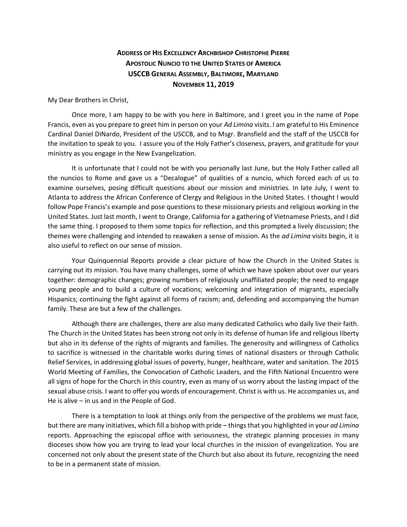## **ADDRESS OF HIS EXCELLENCY ARCHBISHOP CHRISTOPHE PIERRE APOSTOLIC NUNCIO TO THE UNITED STATES OF AMERICA USCCB GENERAL ASSEMBLY, BALTIMORE, MARYLAND NOVEMBER 11, 2019**

My Dear Brothers in Christ,

Once more, I am happy to be with you here in Baltimore, and I greet you in the name of Pope Francis, even as you prepare to greet him in person on your *Ad Limina* visits. I am grateful to His Eminence Cardinal Daniel DiNardo, President of the USCCB, and to Msgr. Bransfield and the staff of the USCCB for the invitation to speak to you. I assure you of the Holy Father's closeness, prayers, and gratitude for your ministry as you engage in the New Evangelization.

It is unfortunate that I could not be with you personally last June, but the Holy Father called all the nuncios to Rome and gave us a "Decalogue" of qualities of a nuncio, which forced each of us to examine ourselves, posing difficult questions about our mission and ministries. In late July, I went to Atlanta to address the African Conference of Clergy and Religious in the United States. I thought I would follow Pope Francis's example and pose questions to these missionary priests and religious working in the United States. Just last month, I went to Orange, California for a gathering of Vietnamese Priests, and I did the same thing. I proposed to them some topics for reflection, and this prompted a lively discussion; the themes were challenging and intended to reawaken a sense of mission. As the *ad Limina* visits begin, it is also useful to reflect on our sense of mission.

Your Quinquennial Reports provide a clear picture of how the Church in the United States is carrying out its mission. You have many challenges, some of which we have spoken about over our years together: demographic changes; growing numbers of religiously unaffiliated people; the need to engage young people and to build a culture of vocations; welcoming and integration of migrants, especially Hispanics; continuing the fight against all forms of racism; and, defending and accompanying the human family. These are but a few of the challenges.

Although there are challenges, there are also many dedicated Catholics who daily live their faith. The Church in the United States has been strong not only in its defense of human life and religious liberty but also in its defense of the rights of migrants and families. The generosity and willingness of Catholics to sacrifice is witnessed in the charitable works during times of national disasters or through Catholic Relief Services, in addressing global issues of poverty, hunger, healthcare, water and sanitation. The 2015 World Meeting of Families, the Convocation of Catholic Leaders, and the Fifth National Encuentro were all signs of hope for the Church in this country, even as many of us worry about the lasting impact of the sexual abuse crisis. I want to offer you words of encouragement. Christ is with us. He accompanies us, and He is alive – in us and in the People of God.

There is a temptation to look at things only from the perspective of the problems we must face, but there are many initiatives, which fill a bishop with pride – things that you highlighted in your *ad Limina*  reports. Approaching the episcopal office with seriousness, the strategic planning processes in many dioceses show how you are trying to lead your local churches in the mission of evangelization. You are concerned not only about the present state of the Church but also about its future, recognizing the need to be in a permanent state of mission.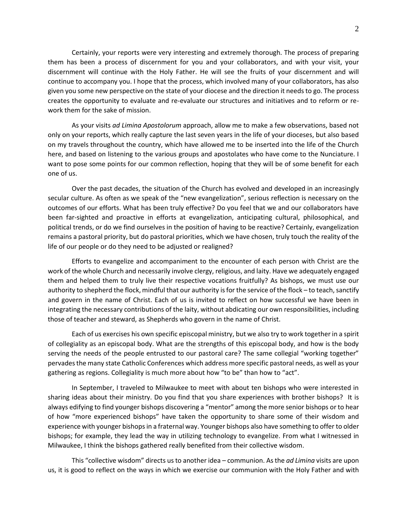Certainly, your reports were very interesting and extremely thorough. The process of preparing them has been a process of discernment for you and your collaborators, and with your visit, your discernment will continue with the Holy Father. He will see the fruits of your discernment and will continue to accompany you. I hope that the process, which involved many of your collaborators, has also given you some new perspective on the state of your diocese and the direction it needs to go. The process creates the opportunity to evaluate and re-evaluate our structures and initiatives and to reform or rework them for the sake of mission.

As your visits *ad Limina Apostolorum* approach, allow me to make a few observations, based not only on your reports, which really capture the last seven years in the life of your dioceses, but also based on my travels throughout the country, which have allowed me to be inserted into the life of the Church here, and based on listening to the various groups and apostolates who have come to the Nunciature. I want to pose some points for our common reflection, hoping that they will be of some benefit for each one of us.

Over the past decades, the situation of the Church has evolved and developed in an increasingly secular culture. As often as we speak of the "new evangelization", serious reflection is necessary on the outcomes of our efforts. What has been truly effective? Do you feel that we and our collaborators have been far-sighted and proactive in efforts at evangelization, anticipating cultural, philosophical, and political trends, or do we find ourselves in the position of having to be reactive? Certainly, evangelization remains a pastoral priority, but do pastoral priorities, which we have chosen, truly touch the reality of the life of our people or do they need to be adjusted or realigned?

Efforts to evangelize and accompaniment to the encounter of each person with Christ are the work of the whole Church and necessarily involve clergy, religious, and laity. Have we adequately engaged them and helped them to truly live their respective vocations fruitfully? As bishops, we must use our authority to shepherd the flock, mindful that our authority is for the service of the flock – to teach, sanctify and govern in the name of Christ. Each of us is invited to reflect on how successful we have been in integrating the necessary contributions of the laity, without abdicating our own responsibilities, including those of teacher and steward, as Shepherds who govern in the name of Christ.

Each of us exercises his own specific episcopal ministry, but we also try to work together in a spirit of collegiality as an episcopal body. What are the strengths of this episcopal body, and how is the body serving the needs of the people entrusted to our pastoral care? The same collegial "working together" pervades the many state Catholic Conferences which address more specific pastoral needs, as well as your gathering as regions. Collegiality is much more about how "to be" than how to "act".

In September, I traveled to Milwaukee to meet with about ten bishops who were interested in sharing ideas about their ministry. Do you find that you share experiences with brother bishops? It is always edifying to find younger bishops discovering a "mentor" among the more senior bishops or to hear of how "more experienced bishops" have taken the opportunity to share some of their wisdom and experience with younger bishops in a fraternal way. Younger bishops also have something to offer to older bishops; for example, they lead the way in utilizing technology to evangelize. From what I witnessed in Milwaukee, I think the bishops gathered really benefited from their collective wisdom.

This "collective wisdom" directs us to another idea – communion. As the *ad Limina* visits are upon us, it is good to reflect on the ways in which we exercise our communion with the Holy Father and with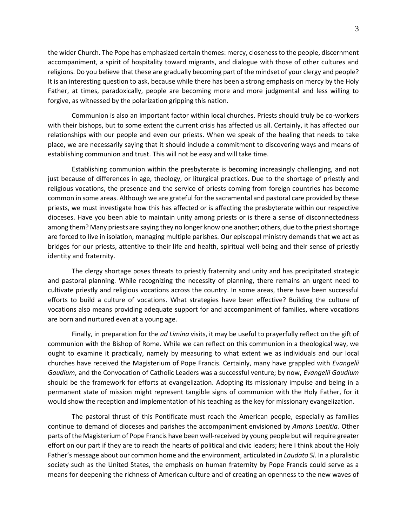the wider Church. The Pope has emphasized certain themes: mercy, closeness to the people, discernment accompaniment, a spirit of hospitality toward migrants, and dialogue with those of other cultures and religions. Do you believe that these are gradually becoming part of the mindset of your clergy and people? It is an interesting question to ask, because while there has been a strong emphasis on mercy by the Holy Father, at times, paradoxically, people are becoming more and more judgmental and less willing to forgive, as witnessed by the polarization gripping this nation.

Communion is also an important factor within local churches. Priests should truly be co-workers with their bishops, but to some extent the current crisis has affected us all. Certainly, it has affected our relationships with our people and even our priests. When we speak of the healing that needs to take place, we are necessarily saying that it should include a commitment to discovering ways and means of establishing communion and trust. This will not be easy and will take time.

Establishing communion within the presbyterate is becoming increasingly challenging, and not just because of differences in age, theology, or liturgical practices. Due to the shortage of priestly and religious vocations, the presence and the service of priests coming from foreign countries has become common in some areas. Although we are grateful for the sacramental and pastoral care provided by these priests, we must investigate how this has affected or is affecting the presbyterate within our respective dioceses. Have you been able to maintain unity among priests or is there a sense of disconnectedness among them? Many priests are saying they no longer know one another; others, due to the priest shortage are forced to live in isolation, managing multiple parishes. Our episcopal ministry demands that we act as bridges for our priests, attentive to their life and health, spiritual well-being and their sense of priestly identity and fraternity.

The clergy shortage poses threats to priestly fraternity and unity and has precipitated strategic and pastoral planning. While recognizing the necessity of planning, there remains an urgent need to cultivate priestly and religious vocations across the country. In some areas, there have been successful efforts to build a culture of vocations. What strategies have been effective? Building the culture of vocations also means providing adequate support for and accompaniment of families, where vocations are born and nurtured even at a young age.

Finally, in preparation for the *ad Limina* visits, it may be useful to prayerfully reflect on the gift of communion with the Bishop of Rome. While we can reflect on this communion in a theological way, we ought to examine it practically, namely by measuring to what extent we as individuals and our local churches have received the Magisterium of Pope Francis. Certainly, many have grappled with *Evangelii Gaudium*, and the Convocation of Catholic Leaders was a successful venture; by now, *Evangelii Gaudium* should be the framework for efforts at evangelization. Adopting its missionary impulse and being in a permanent state of mission might represent tangible signs of communion with the Holy Father, for it would show the reception and implementation of his teaching as the key for missionary evangelization.

The pastoral thrust of this Pontificate must reach the American people, especially as families continue to demand of dioceses and parishes the accompaniment envisioned by *Amoris Laetitia.* Other parts of the Magisterium of Pope Francis have been well-received by young people but will require greater effort on our part if they are to reach the hearts of political and civic leaders; here I think about the Holy Father's message about our common home and the environment, articulated in *Laudato Si*. In a pluralistic society such as the United States, the emphasis on human fraternity by Pope Francis could serve as a means for deepening the richness of American culture and of creating an openness to the new waves of